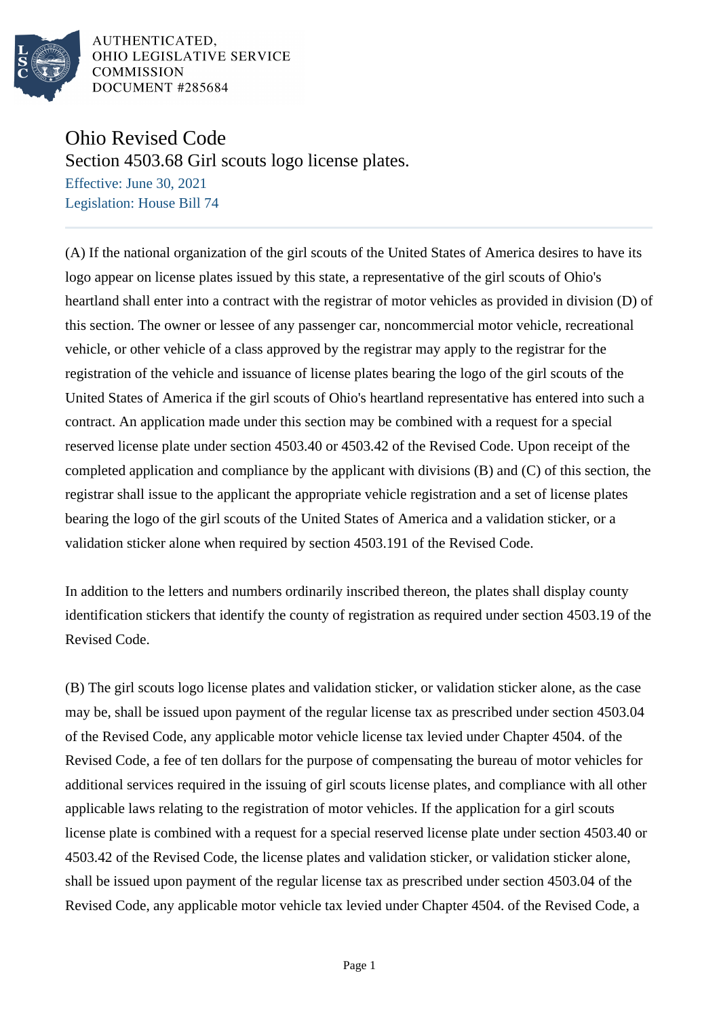

AUTHENTICATED. OHIO LEGISLATIVE SERVICE **COMMISSION** DOCUMENT #285684

## Ohio Revised Code

Section 4503.68 Girl scouts logo license plates.

Effective: June 30, 2021 Legislation: House Bill 74

(A) If the national organization of the girl scouts of the United States of America desires to have its logo appear on license plates issued by this state, a representative of the girl scouts of Ohio's heartland shall enter into a contract with the registrar of motor vehicles as provided in division (D) of this section. The owner or lessee of any passenger car, noncommercial motor vehicle, recreational vehicle, or other vehicle of a class approved by the registrar may apply to the registrar for the registration of the vehicle and issuance of license plates bearing the logo of the girl scouts of the United States of America if the girl scouts of Ohio's heartland representative has entered into such a contract. An application made under this section may be combined with a request for a special reserved license plate under section 4503.40 or 4503.42 of the Revised Code. Upon receipt of the completed application and compliance by the applicant with divisions (B) and (C) of this section, the registrar shall issue to the applicant the appropriate vehicle registration and a set of license plates bearing the logo of the girl scouts of the United States of America and a validation sticker, or a validation sticker alone when required by section 4503.191 of the Revised Code.

In addition to the letters and numbers ordinarily inscribed thereon, the plates shall display county identification stickers that identify the county of registration as required under section 4503.19 of the Revised Code.

(B) The girl scouts logo license plates and validation sticker, or validation sticker alone, as the case may be, shall be issued upon payment of the regular license tax as prescribed under section 4503.04 of the Revised Code, any applicable motor vehicle license tax levied under Chapter 4504. of the Revised Code, a fee of ten dollars for the purpose of compensating the bureau of motor vehicles for additional services required in the issuing of girl scouts license plates, and compliance with all other applicable laws relating to the registration of motor vehicles. If the application for a girl scouts license plate is combined with a request for a special reserved license plate under section 4503.40 or 4503.42 of the Revised Code, the license plates and validation sticker, or validation sticker alone, shall be issued upon payment of the regular license tax as prescribed under section 4503.04 of the Revised Code, any applicable motor vehicle tax levied under Chapter 4504. of the Revised Code, a